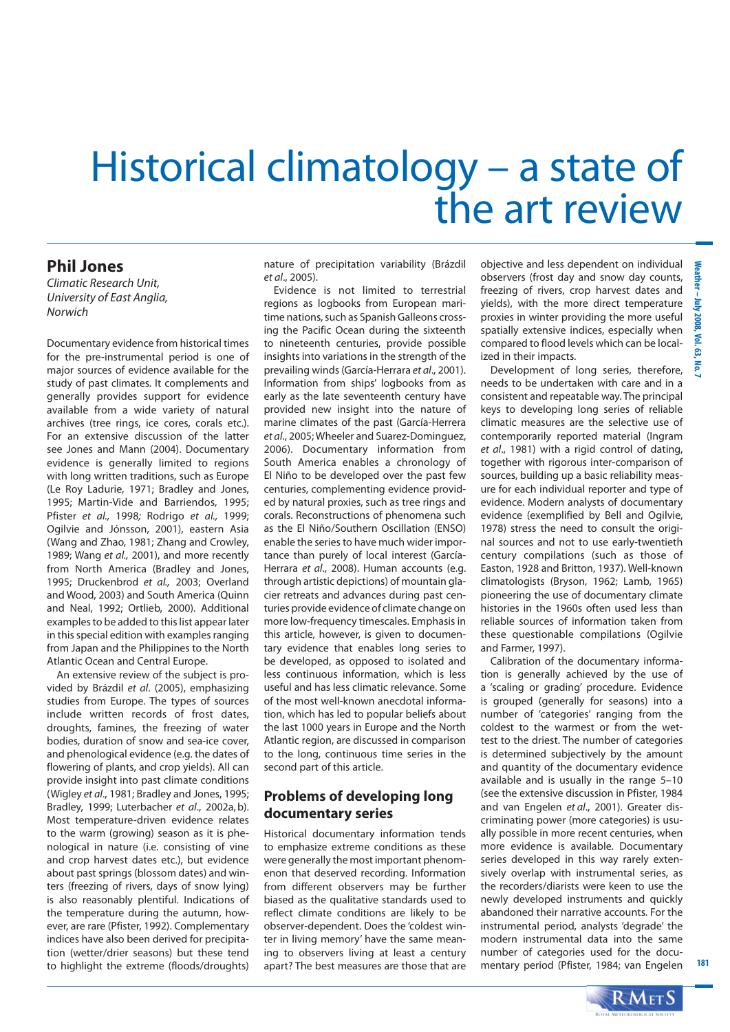# Historical climatology – a state of the art review

### **Phil Jones**

Climatic Research Unit, University of East Anglia, Norwich

Documentary evidence from historical times for the pre-instrumental period is one of major sources of evidence available for the study of past climates. It complements and generally provides support for evidence available from a wide variety of natural archives (tree rings, ice cores, corals etc.). For an extensive discussion of the latter see Jones and Mann (2004). Documentary evidence is generally limited to regions with long written traditions, such as Europe (Le Roy Ladurie, 1971; Bradley and Jones, 1995; Martin-Vide and Barriendos, 1995; Pfister et al., 1998; Rodrigo et al., 1999; Ogilvie and Jónsson, 2001), eastern Asia (Wang and Zhao, 1981; Zhang and Crowley, 1989; Wang et al., 2001), and more recently from North America (Bradley and Jones, 1995; Druckenbrod et al., 2003; Overland and Wood, 2003) and South America (Quinn and Neal, 1992; Ortlieb, 2000). Additional examples to be added to this list appear later in this special edition with examples ranging from Japan and the Philippines to the North Atlantic Ocean and Central Europe.

An extensive review of the subject is provided by Brázdil et al. (2005), emphasizing studies from Europe. The types of sources include written records of frost dates, droughts, famines, the freezing of water bodies, duration of snow and sea-ice cover, and phenological evidence (e.g. the dates of flowering of plants, and crop yields). All can provide insight into past climate conditions (Wigley et al., 1981; Bradley and Jones, 1995; Bradley, 1999; Luterbacher et al., 2002a, b). Most temperature-driven evidence relates to the warm (growing) season as it is phenological in nature (i.e. consisting of vine and crop harvest dates etc.), but evidence about past springs (blossom dates) and winters (freezing of rivers, days of snow lying) is also reasonably plentiful. Indications of the temperature during the autumn, however, are rare (Pfister, 1992). Complementary indices have also been derived for precipitation (wetter/drier seasons) but these tend to highlight the extreme (floods/droughts)

nature of precipitation variability (Brázdil et al., 2005).

Evidence is not limited to terrestrial regions as logbooks from European maritime nations, such as Spanish Galleons crossing the Pacific Ocean during the sixteenth to nineteenth centuries, provide possible insights into variations in the strength of the prevailing winds (García-Herrara et al., 2001). Information from ships' logbooks from as early as the late seventeenth century have provided new insight into the nature of marine climates of the past (García-Herrera et al., 2005; Wheeler and Suarez-Dominguez, 2006). Documentary information from South America enables a chronology of El Niño to be developed over the past few centuries, complementing evidence provided by natural proxies, such as tree rings and corals. Reconstructions of phenomena such as the El Niño/Southern Oscillation (ENSO) enable the series to have much wider importance than purely of local interest (García-Herrara et al., 2008). Human accounts (e.g. through artistic depictions) of mountain glacier retreats and advances during past centuries provide evidence of climate change on more low-frequency timescales. Emphasis in this article, however, is given to documentary evidence that enables long series to be developed, as opposed to isolated and less continuous information, which is less useful and has less climatic relevance. Some of the most well-known anecdotal information, which has led to popular beliefs about the last 1000 years in Europe and the North Atlantic region, are discussed in comparison to the long, continuous time series in the second part of this article.

#### **Problems of developing long documentary series**

Historical documentary information tends to emphasize extreme conditions as these were generally the most important phenomenon that deserved recording. Information from different observers may be further biased as the qualitative standards used to reflect climate conditions are likely to be observer-dependent. Does the 'coldest winter in living memory' have the same meaning to observers living at least a century apart? The best measures are those that are objective and less dependent on individual observers (frost day and snow day counts, freezing of rivers, crop harvest dates and yields), with the more direct temperature proxies in winter providing the more useful spatially extensive indices, especially when compared to flood levels which can be localized in their impacts.

Development of long series, therefore, needs to be undertaken with care and in a consistent and repeatable way. The principal keys to developing long series of reliable climatic measures are the selective use of contemporarily reported material (Ingram et al., 1981) with a rigid control of dating, together with rigorous inter-comparison of sources, building up a basic reliability measure for each individual reporter and type of evidence. Modern analysts of documentary evidence (exemplified by Bell and Ogilvie, 1978) stress the need to consult the original sources and not to use early-twentieth century compilations (such as those of Easton, 1928 and Britton, 1937). Well-known climatologists (Bryson, 1962; Lamb, 1965) pioneering the use of documentary climate histories in the 1960s often used less than reliable sources of information taken from these questionable compilations (Ogilvie and Farmer, 1997).

Calibration of the documentary information is generally achieved by the use of a 'scaling or grading' procedure. Evidence is grouped (generally for seasons) into a number of 'categories' ranging from the coldest to the warmest or from the wettest to the driest. The number of categories is determined subjectively by the amount and quantity of the documentary evidence available and is usually in the range 5–10 (see the extensive discussion in Pfister, 1984 and van Engelen et al., 2001). Greater discriminating power (more categories) is usually possible in more recent centuries, when more evidence is available. Documentary series developed in this way rarely extensively overlap with instrumental series, as the recorders/diarists were keen to use the newly developed instruments and quickly abandoned their narrative accounts. For the instrumental period, analysts 'degrade' the modern instrumental data into the same number of categories used for the documentary period (Pfister, 1984; van Engelen

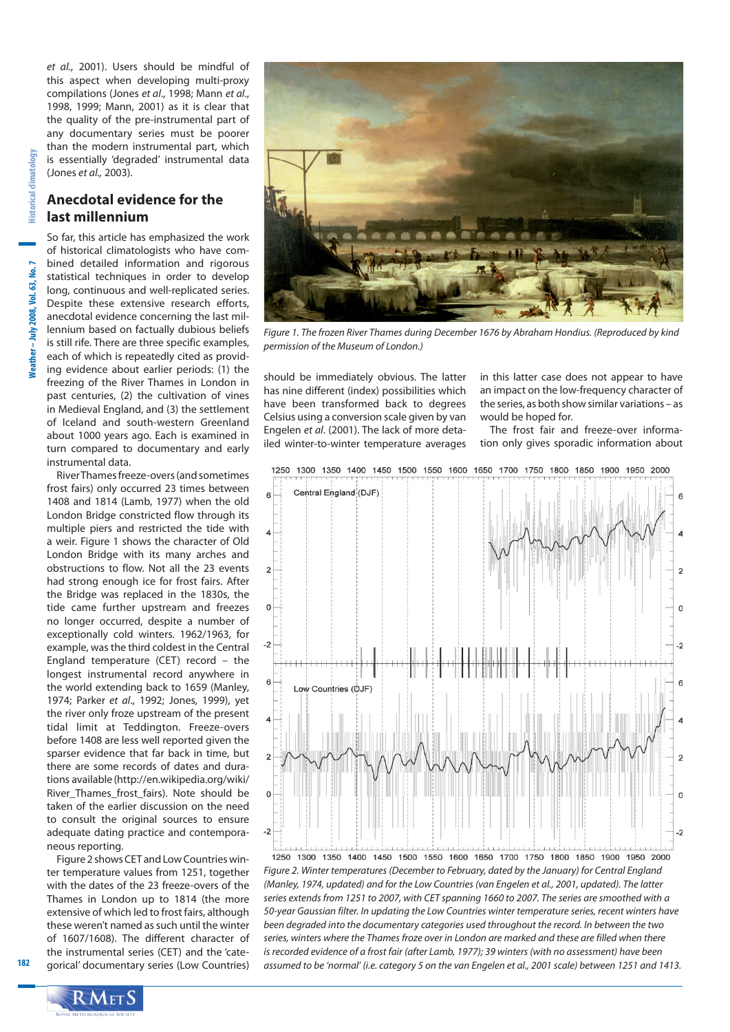et al., 2001). Users should be mindful of this aspect when developing multi-proxy compilations (Jones et al., 1998; Mann et al., 1998, 1999; Mann, 2001) as it is clear that the quality of the pre-instrumental part of any documentary series must be poorer than the modern instrumental part, which is essentially 'degraded' instrumental data (Jones et al., 2003).

#### **Anecdotal evidence for the last millennium**

So far, this article has emphasized the work of historical climatologists who have combined detailed information and rigorous statistical techniques in order to develop long, continuous and well-replicated series. Despite these extensive research efforts, anecdotal evidence concerning the last millennium based on factually dubious beliefs is still rife. There are three specific examples, each of which is repeatedly cited as providing evidence about earlier periods: (1) the freezing of the River Thames in London in past centuries, (2) the cultivation of vines in Medieval England, and (3) the settlement of Iceland and south-western Greenland about 1000 years ago. Each is examined in turn compared to documentary and early instrumental data.

River Thames freeze-overs (and sometimes frost fairs) only occurred 23 times between 1408 and 1814 (Lamb, 1977) when the old London Bridge constricted flow through its multiple piers and restricted the tide with a weir. Figure 1 shows the character of Old London Bridge with its many arches and obstructions to flow. Not all the 23 events had strong enough ice for frost fairs. After the Bridge was replaced in the 1830s, the tide came further upstream and freezes no longer occurred, despite a number of exceptionally cold winters. 1962/1963, for example, was the third coldest in the Central England temperature (CET) record – the longest instrumental record anywhere in the world extending back to 1659 (Manley, 1974; Parker et al., 1992; Jones, 1999), yet the river only froze upstream of the present tidal limit at Teddington. Freeze-overs before 1408 are less well reported given the sparser evidence that far back in time, but there are some records of dates and durations available (http://en.wikipedia.org/wiki/ River\_Thames\_frost\_fairs). Note should be taken of the earlier discussion on the need to consult the original sources to ensure adequate dating practice and contemporaneous reporting.

Figure 2 shows CET and Low Countries winter temperature values from 1251, together with the dates of the 23 freeze-overs of the Thames in London up to 1814 (the more extensive of which led to frost fairs, although these weren't named as such until the winter of 1607/1608). The different character of the instrumental series (CET) and the 'categorical' documentary series (Low Countries)



Figure 1. The frozen River Thames during December 1676 by Abraham Hondius. (Reproduced by kind permission of the Museum of London.)

should be immediately obvious. The latter has nine different (index) possibilities which have been transformed back to degrees Celsius using a conversion scale given by van Engelen et al. (2001). The lack of more detailed winter-to-winter temperature averages

in this latter case does not appear to have an impact on the low-frequency character of the series, as both show similar variations – as would be hoped for.

The frost fair and freeze-over information only gives sporadic information about



Figure 2. Winter temperatures (December to February, dated by the January) for Central England (Manley, 1974, updated) and for the Low Countries (van Engelen et al., 2001, updated). The latter series extends from 1251 to 2007, with CET spanning 1660 to 2007. The series are smoothed with a 50-year Gaussian filter. In updating the Low Countries winter temperature series, recent winters have been degraded into the documentary categories used throughout the record. In between the two series, winters where the Thames froze over in London are marked and these are filled when there is recorded evidence of a frost fair (after Lamb, 1977); 39 winters (with no assessment) have been assumed to be 'normal' (i.e. category 5 on the van Engelen et al., 2001 scale) between 1251 and 1413.

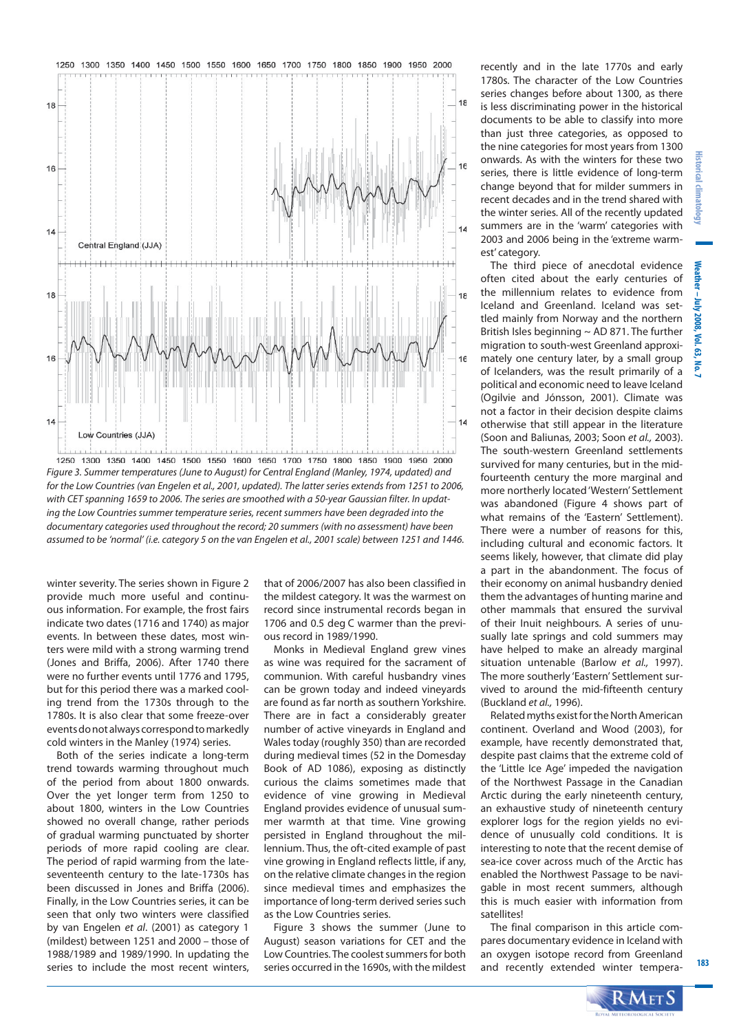

Figure 3. Summer temperatures (June to August) for Central England (Manley, 1974, updated) and for the Low Countries (van Engelen et al., 2001, updated). The latter series extends from 1251 to 2006, with CET spanning 1659 to 2006. The series are smoothed with a 50-year Gaussian filter. In updating the Low Countries summer temperature series, recent summers have been degraded into the documentary categories used throughout the record; 20 summers (with no assessment) have been assumed to be 'normal' (i.e. category 5 on the van Engelen et al., 2001 scale) between 1251 and 1446.

winter severity. The series shown in Figure 2 provide much more useful and continuous information. For example, the frost fairs indicate two dates (1716 and 1740) as major events. In between these dates, most winters were mild with a strong warming trend (Jones and Briffa, 2006). After 1740 there were no further events until 1776 and 1795, but for this period there was a marked cooling trend from the 1730s through to the 1780s. It is also clear that some freeze-over events do not always correspond to markedly cold winters in the Manley (1974) series.

Both of the series indicate a long-term trend towards warming throughout much of the period from about 1800 onwards. Over the yet longer term from 1250 to about 1800, winters in the Low Countries showed no overall change, rather periods of gradual warming punctuated by shorter periods of more rapid cooling are clear. The period of rapid warming from the lateseventeenth century to the late-1730s has been discussed in Jones and Briffa (2006). Finally, in the Low Countries series, it can be seen that only two winters were classified by van Engelen et al. (2001) as category 1 (mildest) between 1251 and 2000 – those of 1988/1989 and 1989/1990. In updating the series to include the most recent winters,

that of 2006/2007 has also been classified in the mildest category. It was the warmest on record since instrumental records began in 1706 and 0.5 deg C warmer than the previous record in 1989/1990.

Monks in Medieval England grew vines as wine was required for the sacrament of communion. With careful husbandry vines can be grown today and indeed vineyards are found as far north as southern Yorkshire. There are in fact a considerably greater number of active vineyards in England and Wales today (roughly 350) than are recorded during medieval times (52 in the Domesday Book of AD 1086), exposing as distinctly curious the claims sometimes made that evidence of vine growing in Medieval England provides evidence of unusual summer warmth at that time. Vine growing persisted in England throughout the millennium. Thus, the oft-cited example of past vine growing in England reflects little, if any, on the relative climate changes in the region since medieval times and emphasizes the importance of long-term derived series such as the Low Countries series.

Figure 3 shows the summer (June to August) season variations for CET and the Low Countries. The coolest summers for both series occurred in the 1690s, with the mildest recently and in the late 1770s and early 1780s. The character of the Low Countries series changes before about 1300, as there is less discriminating power in the historical documents to be able to classify into more than just three categories, as opposed to the nine categories for most years from 1300 onwards. As with the winters for these two series, there is little evidence of long-term change beyond that for milder summers in recent decades and in the trend shared with the winter series. All of the recently updated summers are in the 'warm' categories with 2003 and 2006 being in the 'extreme warmest' category.

The third piece of anecdotal evidence often cited about the early centuries of the millennium relates to evidence from Iceland and Greenland. Iceland was settled mainly from Norway and the northern British Isles beginning ~ AD 871. The further migration to south-west Greenland approximately one century later, by a small group of Icelanders, was the result primarily of a political and economic need to leave Iceland (Ogilvie and Jónsson, 2001). Climate was not a factor in their decision despite claims otherwise that still appear in the literature (Soon and Baliunas, 2003; Soon et al., 2003). The south-western Greenland settlements survived for many centuries, but in the midfourteenth century the more marginal and more northerly located 'Western' Settlement was abandoned (Figure 4 shows part of what remains of the 'Eastern' Settlement). There were a number of reasons for this, including cultural and economic factors. It seems likely, however, that climate did play a part in the abandonment. The focus of their economy on animal husbandry denied them the advantages of hunting marine and other mammals that ensured the survival of their Inuit neighbours. A series of unusually late springs and cold summers may have helped to make an already marginal situation untenable (Barlow et al., 1997). The more southerly 'Eastern' Settlement survived to around the mid-fifteenth century (Buckland et al., 1996).

Related myths exist for the North American continent. Overland and Wood (2003), for example, have recently demonstrated that, despite past claims that the extreme cold of the 'Little Ice Age' impeded the navigation of the Northwest Passage in the Canadian Arctic during the early nineteenth century, an exhaustive study of nineteenth century explorer logs for the region yields no evidence of unusually cold conditions. It is interesting to note that the recent demise of sea-ice cover across much of the Arctic has enabled the Northwest Passage to be navigable in most recent summers, although this is much easier with information from satellites!

The final comparison in this article compares documentary evidence in Iceland with an oxygen isotope record from Greenland and recently extended winter tempera-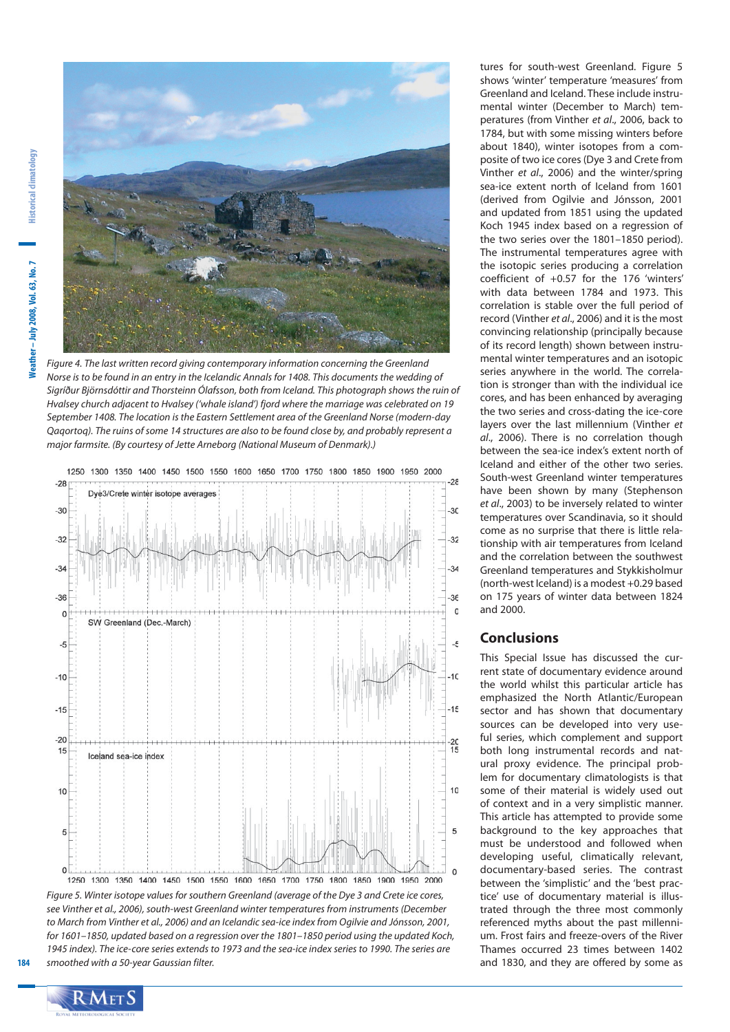

Figure 4. The last written record giving contemporary information concerning the Greenland Norse is to be found in an entry in the Icelandic Annals for 1408. This documents the wedding of Sigríður Björnsdóttir and Thorsteinn Ólafsson, both from Iceland. This photograph shows the ruin of Hvalsey church adjacent to Hvalsey ('whale island') fjord where the marriage was celebrated on 19 September 1408. The location is the Eastern Settlement area of the Greenland Norse (modern-day Qaqortoq). The ruins of some 14 structures are also to be found close by, and probably represent a major farmsite. (By courtesy of Jette Arneborg (National Museum of Denmark).)



Fiaure 5. Winter isotope values for southern Greenland (average of the Dye 3 and Crete ice cores, see Vinther et al., 2006), south-west Greenland winter temperatures from instruments (December to March from Vinther et al., 2006) and an Icelandic sea-ice index from Ogilvie and Jónsson, 2001, for 1601–1850, updated based on a regression over the 1801–1850 period using the updated Koch, 1945 index). The ice-core series extends to 1973 and the sea-ice index series to 1990. The series are smoothed with a 50-year Gaussian filter.

tures for south-west Greenland. Figure 5 shows 'winter' temperature 'measures' from Greenland and Iceland. These include instrumental winter (December to March) temperatures (from Vinther et al., 2006, back to 1784, but with some missing winters before about 1840), winter isotopes from a composite of two ice cores (Dye 3 and Crete from Vinther et al., 2006) and the winter/spring sea-ice extent north of Iceland from 1601 (derived from Ogilvie and Jónsson, 2001 and updated from 1851 using the updated Koch 1945 index based on a regression of the two series over the 1801–1850 period). The instrumental temperatures agree with the isotopic series producing a correlation coefficient of +0.57 for the 176 'winters' with data between 1784 and 1973. This correlation is stable over the full period of record (Vinther et al., 2006) and it is the most convincing relationship (principally because of its record length) shown between instrumental winter temperatures and an isotopic series anywhere in the world. The correlation is stronger than with the individual ice cores, and has been enhanced by averaging the two series and cross-dating the ice-core layers over the last millennium (Vinther et al., 2006). There is no correlation though between the sea-ice index's extent north of Iceland and either of the other two series. South-west Greenland winter temperatures have been shown by many (Stephenson et al., 2003) to be inversely related to winter temperatures over Scandinavia, so it should come as no surprise that there is little relationship with air temperatures from Iceland and the correlation between the southwest Greenland temperatures and Stykkisholmur (north-west Iceland) is a modest +0.29 based on 175 years of winter data between 1824 and 2000.

#### **Conclusions**

This Special Issue has discussed the current state of documentary evidence around the world whilst this particular article has emphasized the North Atlantic/European sector and has shown that documentary sources can be developed into very useful series, which complement and support both long instrumental records and natural proxy evidence. The principal problem for documentary climatologists is that some of their material is widely used out of context and in a very simplistic manner. This article has attempted to provide some background to the key approaches that must be understood and followed when developing useful, climatically relevant, documentary-based series. The contrast between the 'simplistic' and the 'best practice' use of documentary material is illustrated through the three most commonly referenced myths about the past millennium. Frost fairs and freeze-overs of the River Thames occurred 23 times between 1402 and 1830, and they are offered by some as

 $\mathbf{RM}\text{ET}\mathbf{S}$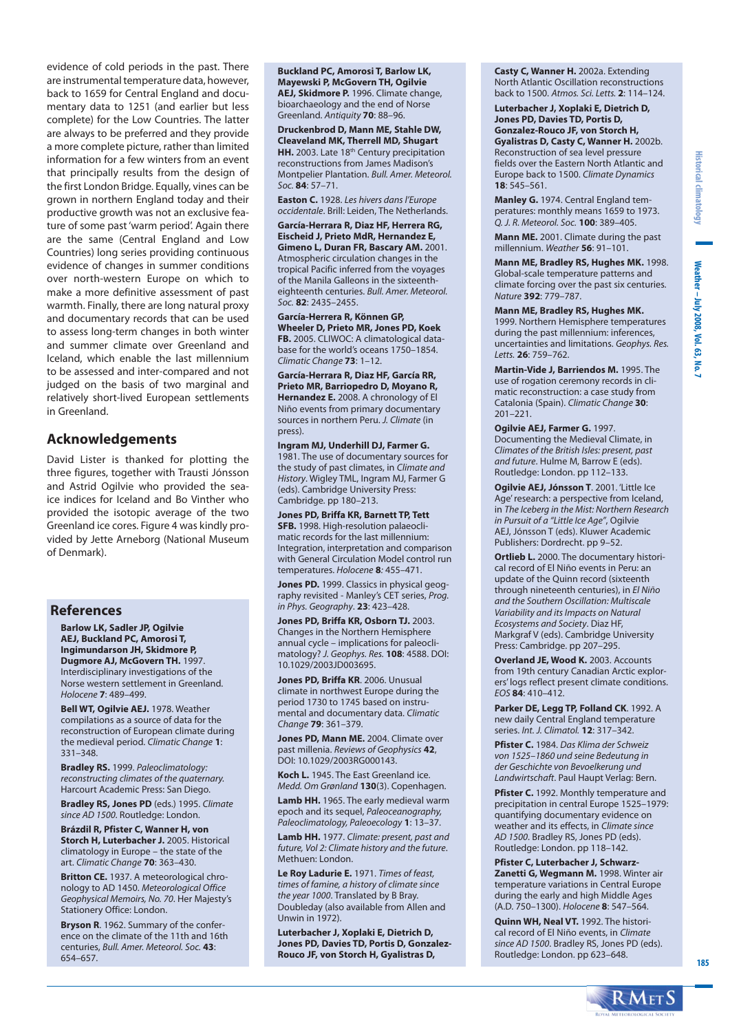evidence of cold periods in the past. There are instrumental temperature data, however, back to 1659 for Central England and documentary data to 1251 (and earlier but less complete) for the Low Countries. The latter are always to be preferred and they provide a more complete picture, rather than limited information for a few winters from an event that principally results from the design of the first London Bridge. Equally, vines can be grown in northern England today and their productive growth was not an exclusive feature of some past 'warm period'. Again there are the same (Central England and Low Countries) long series providing continuous evidence of changes in summer conditions over north-western Europe on which to make a more definitive assessment of past warmth. Finally, there are long natural proxy and documentary records that can be used to assess long-term changes in both winter and summer climate over Greenland and Iceland, which enable the last millennium to be assessed and inter-compared and not judged on the basis of two marginal and relatively short-lived European settlements in Greenland.

#### **Acknowledgements**

David Lister is thanked for plotting the three figures, together with Trausti Jónsson and Astrid Ogilvie who provided the seaice indices for Iceland and Bo Vinther who provided the isotopic average of the two Greenland ice cores. Figure 4 was kindly provided by Jette Arneborg (National Museum of Denmark).

#### **References**

**Barlow LK, Sadler JP, Ogilvie AEJ, Buckland PC, Amorosi T, Ingimundarson JH, Skidmore P, Dugmore AJ, McGovern TH.** 1997. Interdisciplinary investigations of the Norse western settlement in Greenland. Holocene **7**: 489–499.

**Bell WT, Ogilvie AEJ.** 1978. Weather compilations as a source of data for the reconstruction of European climate during the medieval period. Climatic Change **1**: 331–348.

**Bradley RS.** 1999. Paleoclimatology: reconstructing climates of the quaternary. Harcourt Academic Press: San Diego.

**Bradley RS, Jones PD** (eds.) 1995. Climate since AD 1500. Routledge: London.

**Brázdil R, Pfister C, Wanner H, von Storch H, Luterbacher J.** 2005. Historical climatology in Europe – the state of the art. Climatic Change **70**: 363–430.

**Britton CE.** 1937. A meteorological chronology to AD 1450. Meteorological Office Geophysical Memoirs, No. 70. Her Majesty's Stationery Office: London.

**Bryson R**. 1962. Summary of the conference on the climate of the 11th and 16th centuries, Bull. Amer. Meteorol. Soc. **43**: 654–657.

**Buckland PC, Amorosi T, Barlow LK, Mayewski P, McGovern TH, Ogilvie AEJ, Skidmore P.** 1996. Climate change, bioarchaeology and the end of Norse Greenland. Antiquity **70**: 88–96.

**Druckenbrod D, Mann ME, Stahle DW, Cleaveland MK, Therrell MD, Shugart**  HH. 2003. Late 18<sup>th</sup> Century precipitation reconstructions from James Madison's Montpelier Plantation. Bull. Amer. Meteorol. Soc. **84**: 57–71.

**Easton C.** 1928. Les hivers dans l'Europe occidentale. Brill: Leiden, The Netherlands.

**García-Herrara R, Diaz HF, Herrera RG, Eischeid J, Prieto MdR, Hernandez E, Gimeno L, Duran FR, Bascary AM.** 2001. Atmospheric circulation changes in the tropical Pacific inferred from the voyages of the Manila Galleons in the sixteentheighteenth centuries. Bull. Amer. Meteorol. Soc. **82**: 2435–2455.

**García-Herrera R, Können GP, Wheeler D, Prieto MR, Jones PD, Koek FB.** 2005. CLIWOC: A climatological database for the world's oceans 1750–1854. Climatic Change **73**: 1–12.

**García-Herrara R, Diaz HF, García RR, Prieto MR, Barriopedro D, Moyano R, Hernandez E.** 2008. A chronology of El Niño events from primary documentary sources in northern Peru. J. Climate (in press).

**Ingram MJ, Underhill DJ, Farmer G.**  1981. The use of documentary sources for the study of past climates, in Climate and History. Wigley TML, Ingram MJ, Farmer G (eds). Cambridge University Press: Cambridge. pp 180–213.

**Jones PD, Briffa KR, Barnett TP, Tett SFB.** 1998. High-resolution palaeoclimatic records for the last millennium: Integration, interpretation and comparison with General Circulation Model control run temperatures. Holocene **8**: 455–471.

**Jones PD.** 1999. Classics in physical geography revisited - Manley's CET series, Prog. in Phys. Geography. **23**: 423–428.

**Jones PD, Briffa KR, Osborn TJ.** 2003. Changes in the Northern Hemisphere annual cycle – implications for paleoclimatology? J. Geophys. Res. **108**: 4588. DOI: 10.1029/2003JD003695.

**Jones PD, Briffa KR**. 2006. Unusual climate in northwest Europe during the period 1730 to 1745 based on instrumental and documentary data. Climatic Change **79**: 361–379.

**Jones PD, Mann ME.** 2004. Climate over past millenia. Reviews of Geophysics **42**, DOI: 10.1029/2003RG000143.

**Koch L.** 1945. The East Greenland ice. Medd. Om Grønland **130**(3). Copenhagen.

**Lamb HH.** 1965. The early medieval warm epoch and its sequel, Paleoceanography, Paleoclimatology, Paleoecology **1**: 13–37.

**Lamb HH.** 1977. Climate: present, past and future, Vol 2: Climate history and the future. Methuen: London.

**Le Roy Ladurie E.** 1971. Times of feast, times of famine, a history of climate since the year 1000. Translated by B Bray. Doubleday (also available from Allen and Unwin in 1972).

**Luterbacher J, Xoplaki E, Dietrich D, Jones PD, Davies TD, Portis D, Gonzalez-Rouco JF, von Storch H, Gyalistras D,** 

**Casty C, Wanner H.** 2002a. Extending North Atlantic Oscillation reconstructions back to 1500. Atmos. Sci. Letts. **2**: 114–124.

**Luterbacher J, Xoplaki E, Dietrich D, Jones PD, Davies TD, Portis D, Gonzalez-Rouco JF, von Storch H, Gyalistras D, Casty C, Wanner H.** 2002b. Reconstruction of sea level pressure fields over the Eastern North Atlantic and Europe back to 1500. Climate Dynamics **18**: 545–561.

**Manley G.** 1974. Central England temperatures: monthly means 1659 to 1973. Q. J. R. Meteorol. Soc. **100**: 389–405.

**Mann ME.** 2001. Climate during the past millennium. Weather **56**: 91–101.

**Mann ME, Bradley RS, Hughes MK.** 1998. Global-scale temperature patterns and climate forcing over the past six centuries. Nature **392**: 779–787.

**Mann ME, Bradley RS, Hughes MK.** 1999. Northern Hemisphere temperatures during the past millennium: inferences, uncertainties and limitations. Geophys. Res. Letts. **26**: 759–762.

**Martin-Vide J, Barriendos M.** 1995. The use of rogation ceremony records in climatic reconstruction: a case study from Catalonia (Spain). Climatic Change **30**: 201–221.

**Ogilvie AEJ, Farmer G.** 1997. Documenting the Medieval Climate, in Climates of the British Isles: present, past and future. Hulme M, Barrow E (eds). Routledge: London. pp 112–133.

**Ogilvie AEJ, Jónsson T**. 2001. 'Little Ice Age' research: a perspective from Iceland, in The Iceberg in the Mist: Northern Research in Pursuit of a "Little Ice Age", Ogilvie AEJ, Jónsson T (eds). Kluwer Academic Publishers: Dordrecht. pp 9–52.

**Ortlieb L.** 2000. The documentary historical record of El Niño events in Peru: an update of the Quinn record (sixteenth through nineteenth centuries), in El Niño and the Southern Oscillation: Multiscale Variability and its Impacts on Natural Ecosystems and Society. Diaz HF, Markgraf V (eds). Cambridge University Press: Cambridge. pp 207–295.

**Overland JE, Wood K.** 2003. Accounts from 19th century Canadian Arctic explorers' logs reflect present climate conditions. EOS **84**: 410–412.

**Parker DE, Legg TP, Folland CK**. 1992. A new daily Central England temperature series. Int. J. Climatol. **12**: 317–342.

**Pfister C.** 1984. Das Klima der Schweiz von 1525–1860 und seine Bedeutung in der Geschichte von Bevoelkerung und Landwirtschaft. Paul Haupt Verlag: Bern.

**Pfister C.** 1992. Monthly temperature and precipitation in central Europe 1525–1979: quantifying documentary evidence on weather and its effects, in Climate since AD 1500. Bradley RS, Jones PD (eds). Routledge: London. pp 118–142.

**Pfister C, Luterbacher J, Schwarz-Zanetti G, Wegmann M.** 1998. Winter air temperature variations in Central Europe during the early and high Middle Ages (A.D. 750–1300). Holocene **8**: 547–564.

**Quinn WH, Neal VT.** 1992. The historical record of El Niño events, in Climate since AD 1500. Bradley RS, Jones PD (eds). Routledge: London. pp 623–648.

**Weather – July 2008, Vol. 63, No. 7** 

Weather - July 2008, Vol. 63, No. 7